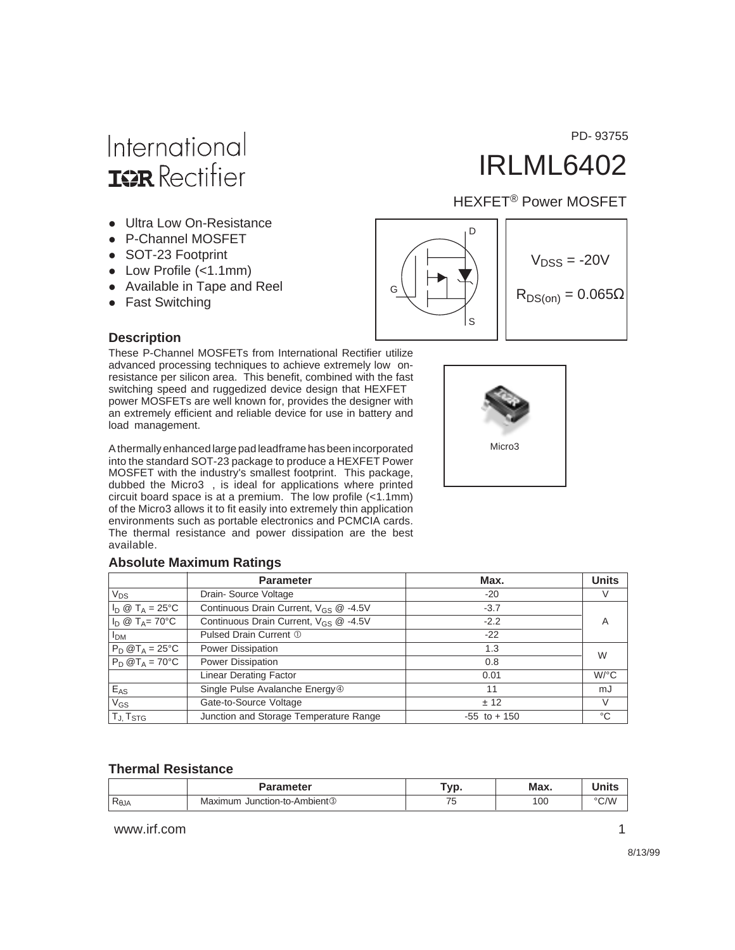# International **ISR** Rectifier

- Ultra Low On-Resistance
- P-Channel MOSFET
- SOT-23 Footprint
- $\bullet$  Low Profile (<1.1mm)
- Available in Tape and Reel
- Fast Switching

#### **Description**

These P-Channel MOSFETs from International Rectifier utilize advanced processing techniques to achieve extremely low onresistance per silicon area. This benefit, combined with the fast switching speed and ruggedized device design that HEXFET<sup>®</sup> power MOSFETs are well known for, provides the designer with an extremely efficient and reliable device for use in battery and load management.

A thermally enhanced large pad leadframe has been incorporated into the standard SOT-23 package to produce a HEXFET Power MOSFET with the industry's smallest footprint. This package, dubbed the Micro3™, is ideal for applications where printed circuit board space is at a premium. The low profile (<1.1mm) of the Micro3 allows it to fit easily into extremely thin application environments such as portable electronics and PCMCIA cards. The thermal resistance and power dissipation are the best available.

#### **Absolute Maximum Ratings**

|                           | <b>Parameter</b>                                  | Max.            | <b>Units</b>         |
|---------------------------|---------------------------------------------------|-----------------|----------------------|
| $V_{DS}$                  | Drain-Source Voltage                              | $-20$           |                      |
| $I_D \otimes T_A = 25$ °C | Continuous Drain Current, V <sub>GS</sub> @ -4.5V | $-3.7$          |                      |
| $I_D @ T_A = 70^{\circ}C$ | Continuous Drain Current, $V_{GS}$ @ -4.5V        | $-2.2$          | $\overline{A}$       |
| <b>I<sub>DM</sub></b>     | Pulsed Drain Current 1                            | $-22$           |                      |
| $P_D @T_A = 25^{\circ}C$  | Power Dissipation                                 | 1.3             | W                    |
| $P_D @T_A = 70^{\circ}C$  | Power Dissipation                                 | 0.8             |                      |
|                           | <b>Linear Derating Factor</b>                     | 0.01            | $W$ <sup>o</sup> $C$ |
| $E_{AS}$                  | Single Pulse Avalanche Energy <sup>4</sup>        | 11              | mJ                   |
| $V_{GS}$                  | Gate-to-Source Voltage                            | ± 12            | V                    |
| TJ, T <sub>STG</sub>      | Junction and Storage Temperature Range            | $-55$ to $+150$ | °C                   |

#### **Thermal Resistance**

|                     | <b>Parameter</b>                              | <b>vn</b><br>. ש | Max. | $-1 - 1 - 1$<br>יווו |
|---------------------|-----------------------------------------------|------------------|------|----------------------|
| P<br>$R_{\theta$ JA | า Junction-to-Ambient <sup>®</sup><br>Maximum |                  | 100  | $\degree$ C/W        |

www.irf.com 1







PD- 93755

IRLML6402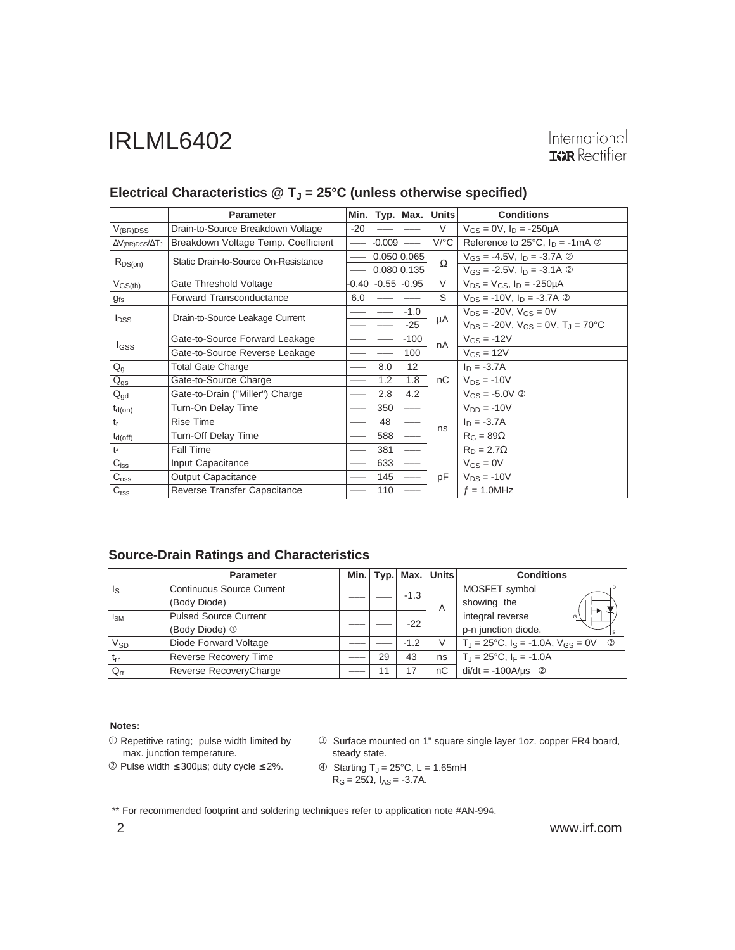International **IGR** Rectifier

|                                 | <b>Parameter</b>                     | Min.  |          | Typ.   Max.     | <b>Units</b>         | <b>Conditions</b>                                          |  |  |
|---------------------------------|--------------------------------------|-------|----------|-----------------|----------------------|------------------------------------------------------------|--|--|
| $V_{(BR)DSS}$                   | Drain-to-Source Breakdown Voltage    | $-20$ |          |                 | V                    | $V_{GS} = 0V$ , $I_D = -250 \mu A$                         |  |  |
| $\Delta V_{(BR)DSS}/\Delta T_J$ | Breakdown Voltage Temp. Coefficient  |       | $-0.009$ |                 | $V$ <sup>o</sup> $C$ | Reference to 25 $^{\circ}$ C, $I_D = -1$ mA $\circledcirc$ |  |  |
| $R_{DS(on)}$                    | Static Drain-to-Source On-Resistance |       |          | 0.050 0.065     | Ω                    | $V_{GS} = -4.5V$ , $I_D = -3.7A$ 2                         |  |  |
|                                 |                                      |       |          | 0.080 0.135     |                      | $V_{GS} = -2.5V, I_D = -3.1A$ 2                            |  |  |
| $V_{GS(th)}$                    | Gate Threshold Voltage               | -0.40 |          | $-0.55$ $-0.95$ | V                    | $V_{DS} = V_{GS}$ , $I_D = -250 \mu A$                     |  |  |
| $g_{fs}$                        | <b>Forward Transconductance</b>      | 6.0   |          |                 | S                    | $V_{DS}$ = -10V, $I_D$ = -3.7A $\circledcirc$              |  |  |
|                                 | Drain-to-Source Leakage Current      |       |          | $-1.0$          |                      | $V_{DS}$ = -20V, $V_{GS}$ = 0V                             |  |  |
| $I_{DSS}$                       |                                      |       |          | $-25$           | μA                   | $V_{DS}$ = -20V, $V_{GS}$ = 0V, $T_{J}$ = 70°C             |  |  |
| <b>I</b> GSS                    | Gate-to-Source Forward Leakage       |       |          | $-100$          | nA                   | $V_{GS} = -12V$                                            |  |  |
|                                 | Gate-to-Source Reverse Leakage       |       |          | 100             |                      | $V_{GS} = 12V$                                             |  |  |
| $Q_g$                           | <b>Total Gate Charge</b>             |       | 8.0      | 12              |                      | $I_D = -3.7A$                                              |  |  |
| $Q_{gs}$                        | Gate-to-Source Charge                |       | 1.2      | 1.8             | nC                   | $V_{DS}$ = -10V                                            |  |  |
| $Q_{gd}$                        | Gate-to-Drain ("Miller") Charge      |       | 2.8      | 4.2             |                      | $V_{GS} = -5.0V$ 2                                         |  |  |
| $t_{d(on)}$                     | Turn-On Delay Time                   |       | 350      |                 |                      | $V_{DD} = -10V$                                            |  |  |
| $t_{r}$                         | <b>Rise Time</b>                     |       | 48       |                 | ns                   | $I_D = -3.7A$                                              |  |  |
| $t_{d(off)}$                    | <b>Turn-Off Delay Time</b>           |       | 588      |                 |                      | $R_G = 89\Omega$                                           |  |  |
| $t_{\rm f}$                     | Fall Time                            |       | 381      |                 |                      | $R_D = 2.7\Omega$                                          |  |  |
| $\overline{C_{iss}}$            | Input Capacitance                    |       | 633      |                 |                      | $V_{GS} = 0V$                                              |  |  |
| $C_{\rm{oss}}$                  | <b>Output Capacitance</b>            |       | 145      |                 | pF                   | $V_{DS}$ = -10V                                            |  |  |
| C <sub>rss</sub>                | Reverse Transfer Capacitance         |       | 110      |                 |                      | $f = 1.0$ MHz                                              |  |  |

## Electrical Characteristics @ T<sub>J</sub> = 25°C (unless otherwise specified)

#### **Source-Drain Ratings and Characteristics**

|                         | <b>Parameter</b>                 | Min. |    | Typ. Max. | <b>Units</b>        | <b>Conditions</b>                                  |                        |  |
|-------------------------|----------------------------------|------|----|-----------|---------------------|----------------------------------------------------|------------------------|--|
| $\mathsf{I}_\mathsf{S}$ | <b>Continuous Source Current</b> |      |    | $-1.3$    |                     | MOSFET symbol                                      |                        |  |
|                         | (Body Diode)                     |      |    |           | A                   | showing the                                        |                        |  |
| I <sub>SM</sub>         | <b>Pulsed Source Current</b>     |      |    |           | $-22$               |                                                    | integral reverse<br>G) |  |
|                         | (Body Diode) 1                   |      |    |           | p-n junction diode. |                                                    |                        |  |
| V <sub>SD</sub>         | Diode Forward Voltage            |      |    | $-1.2$    | V                   | $T_J = 25$ °C, $I_S = -1.0A$ , $V_{GS} = 0V$ ②     |                        |  |
| $ t_{rr} $              | <b>Reverse Recovery Time</b>     |      | 29 | 43        | ns                  | $T_{\rm J} = 25^{\circ}$ C, I <sub>F</sub> = -1.0A |                        |  |
| $Q_{rr}$                | Reverse RecoveryCharge           |      | 11 | 17        | nC                  | $di/dt = -100A/\mu s$ <sup>②</sup>                 |                        |  |

#### **Notes:**

 $O$  Repetitive rating; pulse width limited by max. junction temperature.

Pulse width ≤ 300µs; duty cycle ≤ 2%.

 Surface mounted on 1" square single layer 1oz. copper FR4 board, steady state.

\n- $$
\bullet
$$
 Starting T<sub>J</sub> = 25°C, L = 1.65mH R<sub>G</sub> = 25Ω, I<sub>AS</sub> = -3.7A.
\n

\*\* For recommended footprint and soldering techniques refer to application note #AN-994.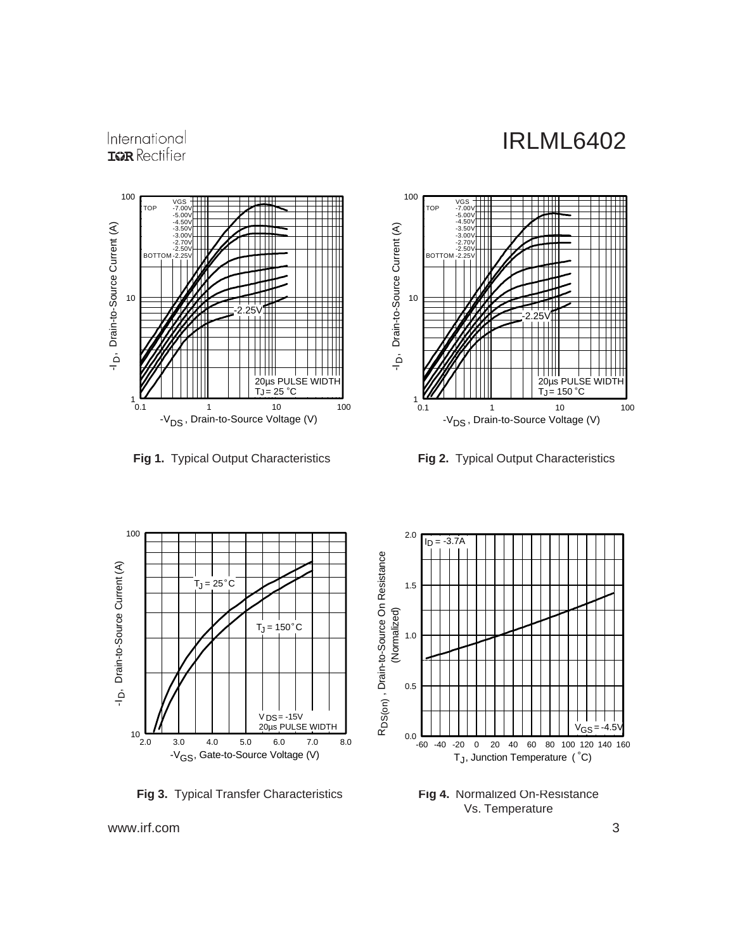## International **IGR** Rectifier



**Fig 1.** Typical Output Characteristics **Fig 2.** Typical Output Characteristics





**Fig 3.** Typical Transfer Characteristics



**Fig 4.** Normalized On-Resistance Vs. Temperature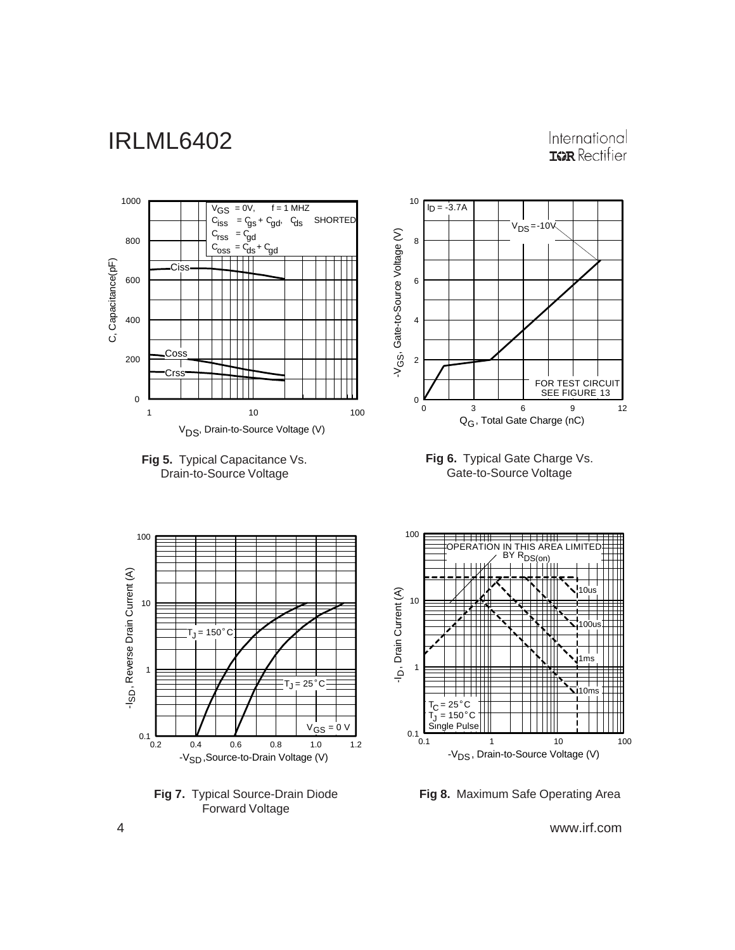International **IGR** Rectifier



**Fig 7.** Typical Source-Drain Diode Forward Voltage

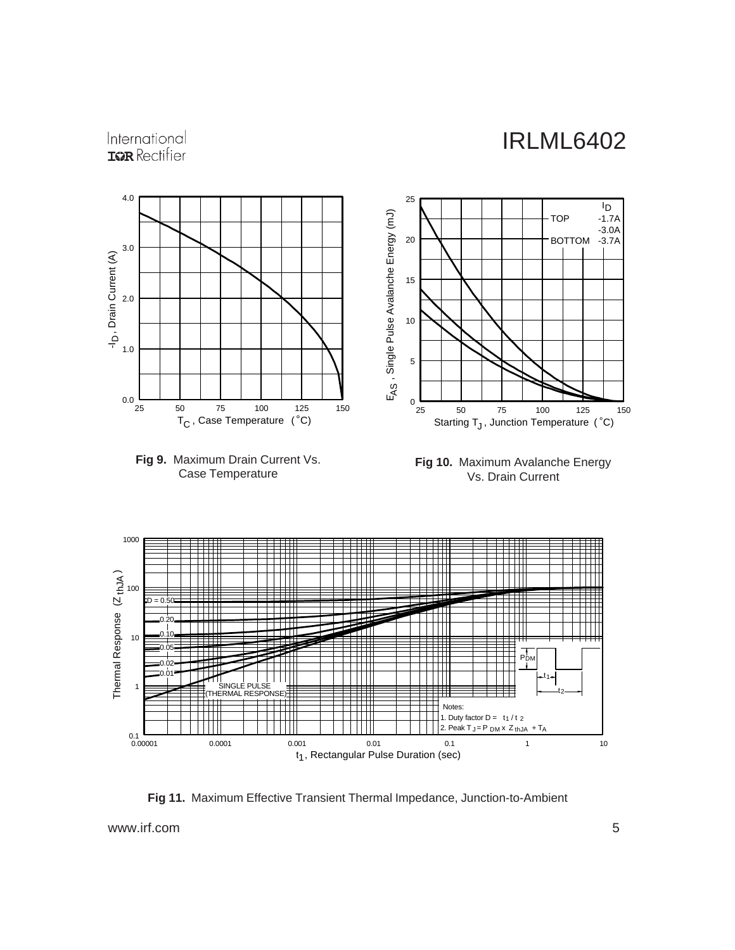## International **IGR** Rectifier



**Fig 11.** Maximum Effective Transient Thermal Impedance, Junction-to-Ambient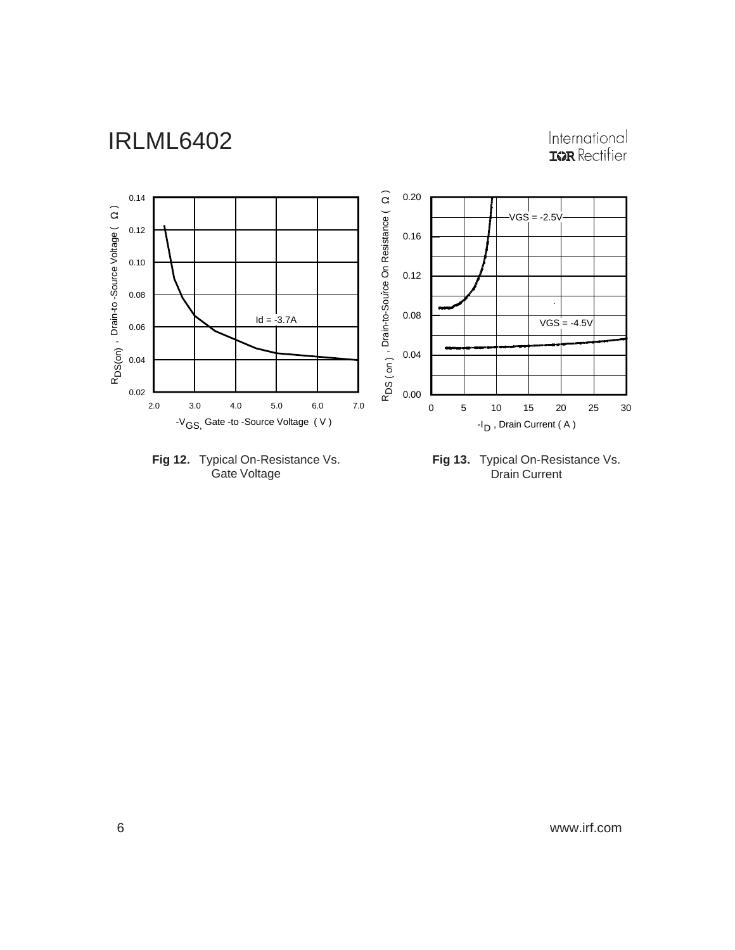# International<br>**IGR** Rectifier





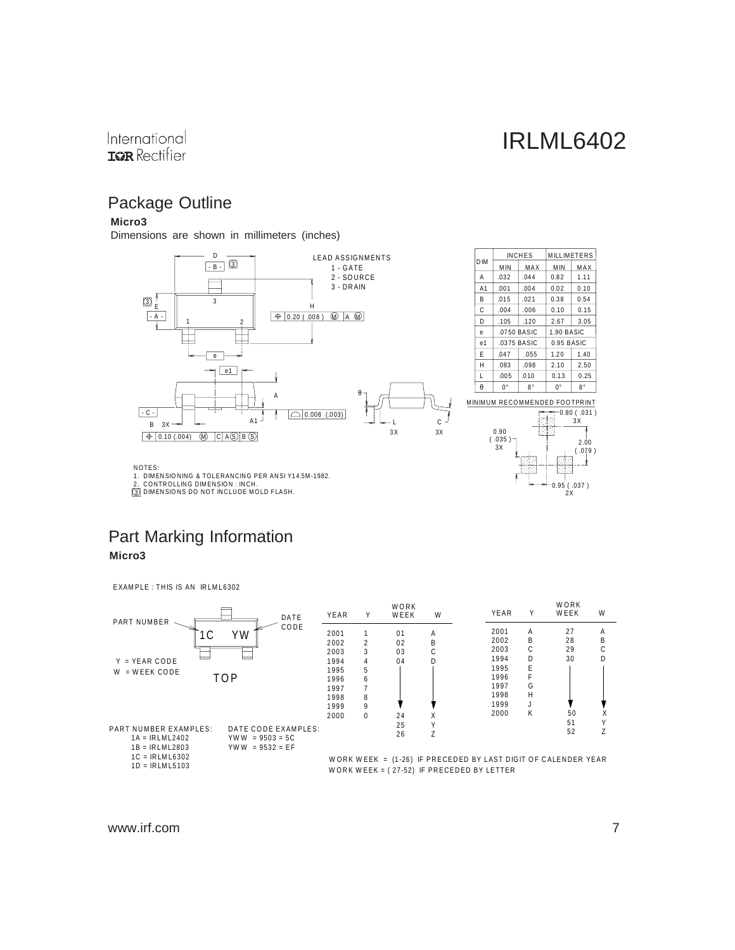$2x$ 

#### International **IGR** Rectifier

## Package Outline

#### **Micro3**

Dimensions are shown in millimeters (inches)



3

### Part Marking Information **Micro3**

EXAMPLE : THIS IS AN IRLML6302

| PART NUMBER                                                                                  | YEAR<br>DATE | Y        | WORK<br>WEEK | W | YEAR                                                            | Υ | WORK<br>WEEK | W |
|----------------------------------------------------------------------------------------------|--------------|----------|--------------|---|-----------------------------------------------------------------|---|--------------|---|
| ΥW<br>1 C                                                                                    | CODE<br>2001 |          | 01           | A | 2001                                                            | A | 27           | Α |
|                                                                                              | 2002         | 2        | 02           | B | 2002                                                            | B | 28           | В |
|                                                                                              | 2003         | 3        | 03           | С | 2003                                                            | C | 29           | G |
| $Y = YEAR CODE$                                                                              | 1994         | 4        | 04           | D | 1994                                                            | D | 30           | D |
| $W = WEEK CODE$                                                                              | 1995         | 5        |              |   | 1995                                                            | E |              |   |
| TOP                                                                                          | 1996         | 6        |              |   | 1996                                                            |   |              |   |
|                                                                                              | 1997         |          |              |   | 1997                                                            | G |              |   |
|                                                                                              | 1998         | 8        |              |   | 1998                                                            | H |              |   |
|                                                                                              | 1999         | 9        |              |   | 1999                                                            | J |              |   |
|                                                                                              | 2000         | $\Omega$ | 24           | Χ | 2000                                                            | Κ | 50           |   |
|                                                                                              |              |          | 25           |   |                                                                 |   | 51           |   |
| <b>PART NUMBER EXAMPLES:</b><br>DATE CODE EXAMPLES:<br>$1A = IRLML2402$<br>$YWW = 9503 = 5C$ |              |          | 26           |   |                                                                 |   | 52           |   |
| $1B = IRLML2803$<br>$YWW = 9532 = EF$                                                        |              |          |              |   |                                                                 |   |              |   |
| $1C = IRLML6302$                                                                             |              |          |              |   | WORK WEEK = $(1-26)$ IF PRECEDED BY LAST DIGIT OF CALENDER YEAR |   |              |   |
| $1D = IRLML5103$                                                                             |              |          |              |   | WORK WEEK = $(27-52)$ IF PRECEDED BY LETTER                     |   |              |   |